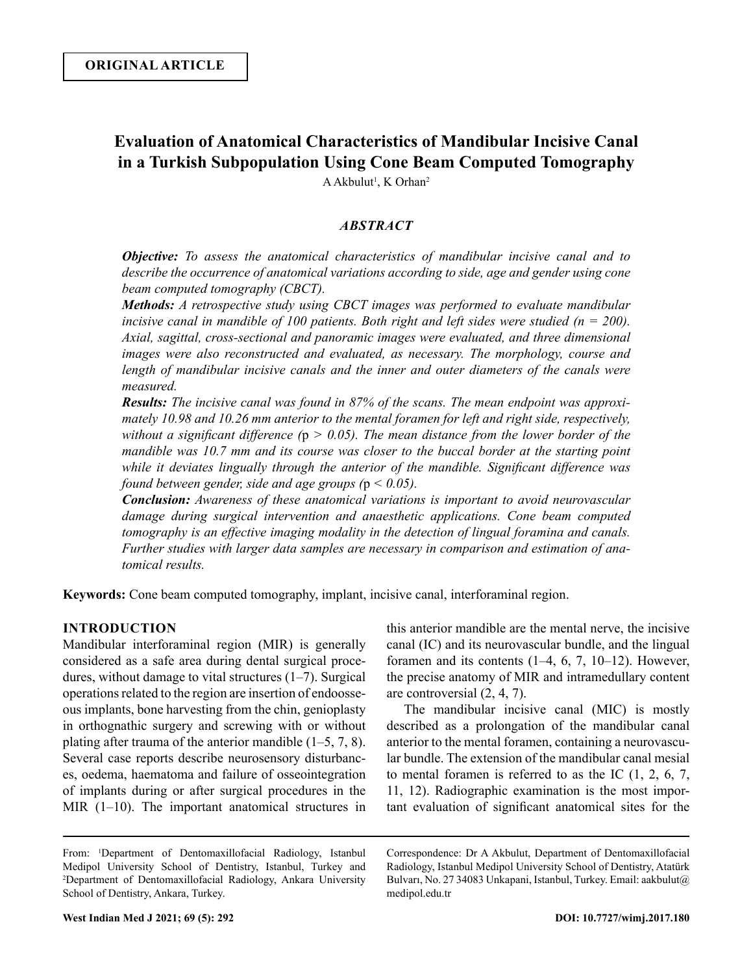# **Evaluation of Anatomical Characteristics of Mandibular Incisive Canal in a Turkish Subpopulation Using Cone Beam Computed Tomography**

A Akbulut<sup>1</sup>, K Orhan<sup>2</sup>

# *ABSTRACT*

*Objective: To assess the anatomical characteristics of mandibular incisive canal and to describe the occurrence of anatomical variations according to side, age and gender using cone beam computed tomography (CBCT).*

*Methods: A retrospective study using CBCT images was performed to evaluate mandibular incisive canal in mandible of 100 patients. Both right and left sides were studied (n = 200). Axial, sagittal, cross-sectional and panoramic images were evaluated, and three dimensional images were also reconstructed and evaluated, as necessary. The morphology, course and length of mandibular incisive canals and the inner and outer diameters of the canals were measured.*

*Results: The incisive canal was found in 87% of the scans. The mean endpoint was approximately 10.98 and 10.26 mm anterior to the mental foramen for left and right side, respectively, without a significant difference (*p *> 0.05). The mean distance from the lower border of the mandible was 10.7 mm and its course was closer to the buccal border at the starting point while it deviates lingually through the anterior of the mandible. Significant difference was found between gender, side and age groups (*p *< 0.05).*

*Conclusion: Awareness of these anatomical variations is important to avoid neurovascular damage during surgical intervention and anaesthetic applications. Cone beam computed tomography is an effective imaging modality in the detection of lingual foramina and canals. Further studies with larger data samples are necessary in comparison and estimation of anatomical results.*

**Keywords:** Cone beam computed tomography, implant, incisive canal, interforaminal region.

# **INTRODUCTION**

Mandibular interforaminal region (MIR) is generally considered as a safe area during dental surgical procedures, without damage to vital structures (1–7). Surgical operations related to the region are insertion of endoosseous implants, bone harvesting from the chin, genioplasty in orthognathic surgery and screwing with or without plating after trauma of the anterior mandible  $(1-5, 7, 8)$ . Several case reports describe neurosensory disturbances, oedema, haematoma and failure of osseointegration of implants during or after surgical procedures in the MIR (1–10). The important anatomical structures in

this anterior mandible are the mental nerve, the incisive canal (IC) and its neurovascular bundle, and the lingual foramen and its contents  $(1-4, 6, 7, 10-12)$ . However, the precise anatomy of MIR and intramedullary content are controversial (2, 4, 7).

The mandibular incisive canal (MIC) is mostly described as a prolongation of the mandibular canal anterior to the mental foramen, containing a neurovascular bundle. The extension of the mandibular canal mesial to mental foramen is referred to as the IC (1, 2, 6, 7, 11, 12). Radiographic examination is the most important evaluation of significant anatomical sites for the

From: 1 Department of Dentomaxillofacial Radiology, Istanbul Medipol University School of Dentistry, Istanbul, Turkey and 2 Department of Dentomaxillofacial Radiology, Ankara University School of Dentistry, Ankara, Turkey.

Correspondence: Dr A Akbulut, Department of Dentomaxillofacial Radiology, Istanbul Medipol University School of Dentistry, Atatürk Bulvarı, No. 27 34083 Unkapani, Istanbul, Turkey. Email: aakbulut@ medipol.edu.tr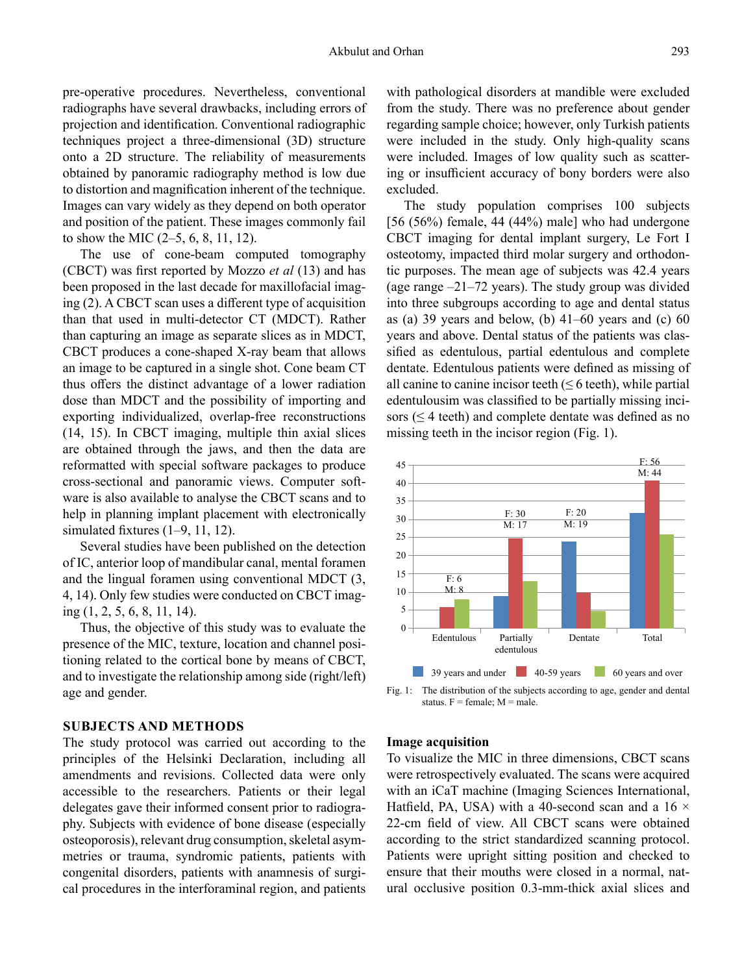pre-operative procedures. Nevertheless, conventional radiographs have several drawbacks, including errors of projection and identification. Conventional radiographic techniques project a three-dimensional (3D) structure onto a 2D structure. The reliability of measurements obtained by panoramic radiography method is low due to distortion and magnification inherent of the technique. Images can vary widely as they depend on both operator and position of the patient. These images commonly fail to show the MIC (2–5, 6, 8, 11, 12).

The use of cone-beam computed tomography (CBCT) was first reported by Mozzo *et al* (13) and has been proposed in the last decade for maxillofacial imaging (2). A CBCT scan uses a different type of acquisition than that used in multi-detector CT (MDCT). Rather than capturing an image as separate slices as in MDCT, CBCT produces a cone-shaped X-ray beam that allows an image to be captured in a single shot. Cone beam CT thus offers the distinct advantage of a lower radiation dose than MDCT and the possibility of importing and exporting individualized, overlap-free reconstructions (14, 15). In CBCT imaging, multiple thin axial slices are obtained through the jaws, and then the data are reformatted with special software packages to produce cross-sectional and panoramic views. Computer software is also available to analyse the CBCT scans and to help in planning implant placement with electronically simulated fixtures (1–9, 11, 12).

Several studies have been published on the detection of IC, anterior loop of mandibular canal, mental foramen and the lingual foramen using conventional MDCT (3, 4, 14). Only few studies were conducted on CBCT imaging (1, 2, 5, 6, 8, 11, 14).

Thus, the objective of this study was to evaluate the presence of the MIC, texture, location and channel positioning related to the cortical bone by means of CBCT, and to investigate the relationship among side (right/left) age and gender.

## **SUBJECTS AND METHODS**

The study protocol was carried out according to the principles of the Helsinki Declaration, including all amendments and revisions. Collected data were only accessible to the researchers. Patients or their legal delegates gave their informed consent prior to radiography. Subjects with evidence of bone disease (especially osteoporosis), relevant drug consumption, skeletal asymmetries or trauma, syndromic patients, patients with congenital disorders, patients with anamnesis of surgical procedures in the interforaminal region, and patients

with pathological disorders at mandible were excluded from the study. There was no preference about gender regarding sample choice; however, only Turkish patients were included in the study. Only high-quality scans were included. Images of low quality such as scattering or insufficient accuracy of bony borders were also excluded.

The study population comprises 100 subjects  $[56 (56%)$  female, 44 (44%) male] who had undergone CBCT imaging for dental implant surgery, Le Fort I osteotomy, impacted third molar surgery and orthodontic purposes. The mean age of subjects was 42.4 years (age range  $-21-72$  years). The study group was divided into three subgroups according to age and dental status as (a) 39 years and below, (b)  $41-60$  years and (c) 60 years and above. Dental status of the patients was classified as edentulous, partial edentulous and complete dentate. Edentulous patients were defined as missing of all canine to canine incisor teeth  $(\leq 6$  teeth), while partial edentulousim was classified to be partially missing incisors ( $\leq$  4 teeth) and complete dentate was defined as no missing teeth in the incisor region (Fig. 1).



Fig. 1: The distribution of the subjects according to age, gender and dental status.  $F = female$ ;  $M = male$ .

#### **Image acquisition**

To visualize the MIC in three dimensions, CBCT scans were retrospectively evaluated. The scans were acquired with an iCaT machine (Imaging Sciences International, Hatfield, PA, USA) with a 40-second scan and a  $16 \times$ 22-cm field of view. All CBCT scans were obtained according to the strict standardized scanning protocol. Patients were upright sitting position and checked to ensure that their mouths were closed in a normal, natural occlusive position 0.3-mm-thick axial slices and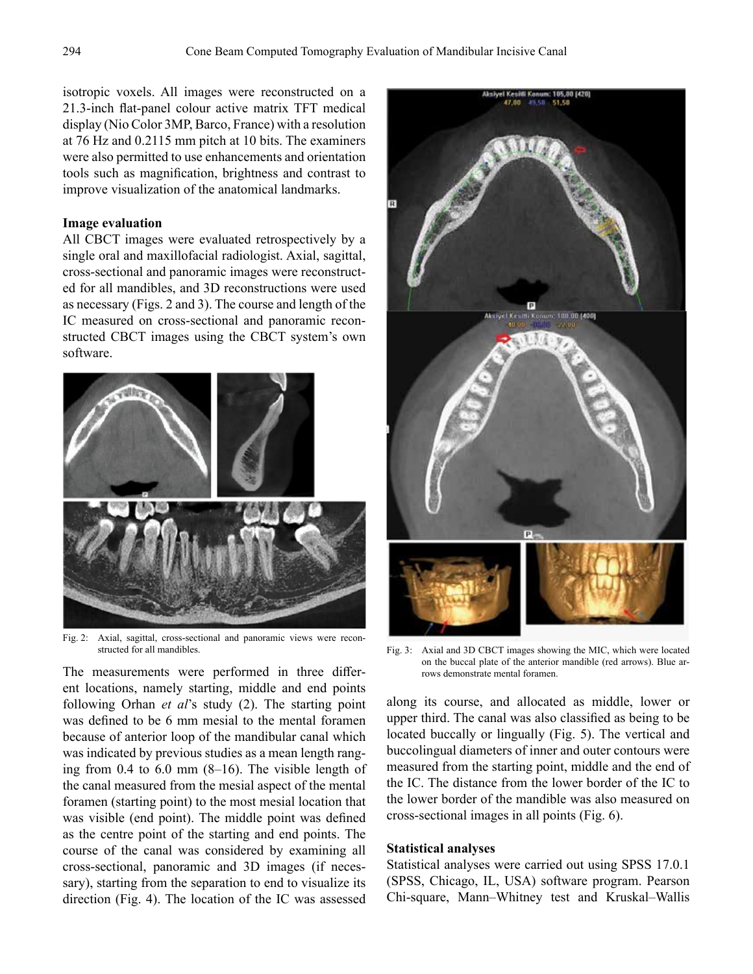isotropic voxels. All images were reconstructed on a 21.3-inch flat-panel colour active matrix TFT medical display (Nio Color 3MP, Barco, France) with a resolution at 76 Hz and 0.2115 mm pitch at 10 bits. The examiners were also permitted to use enhancements and orientation tools such as magnification, brightness and contrast to improve visualization of the anatomical landmarks.

## **Image evaluation**

All CBCT images were evaluated retrospectively by a single oral and maxillofacial radiologist. Axial, sagittal, cross-sectional and panoramic images were reconstructed for all mandibles, and 3D reconstructions were used as necessary (Figs. 2 and 3). The course and length of the IC measured on cross-sectional and panoramic reconstructed CBCT images using the CBCT system's own software.



Fig. 2: Axial, sagittal, cross-sectional and panoramic views were reconstructed for all mandibles.

The measurements were performed in three different locations, namely starting, middle and end points following Orhan *et al*'s study (2). The starting point was defined to be 6 mm mesial to the mental foramen because of anterior loop of the mandibular canal which was indicated by previous studies as a mean length ranging from 0.4 to 6.0 mm (8–16). The visible length of the canal measured from the mesial aspect of the mental foramen (starting point) to the most mesial location that was visible (end point). The middle point was defined as the centre point of the starting and end points. The course of the canal was considered by examining all cross-sectional, panoramic and 3D images (if necessary), starting from the separation to end to visualize its direction (Fig. 4). The location of the IC was assessed



Fig. 3: Axial and 3D CBCT images showing the MIC, which were located on the buccal plate of the anterior mandible (red arrows). Blue arrows demonstrate mental foramen.

along its course, and allocated as middle, lower or upper third. The canal was also classified as being to be located buccally or lingually (Fig. 5). The vertical and buccolingual diameters of inner and outer contours were measured from the starting point, middle and the end of the IC. The distance from the lower border of the IC to the lower border of the mandible was also measured on cross-sectional images in all points (Fig. 6).

#### **Statistical analyses**

Statistical analyses were carried out using SPSS 17.0.1 (SPSS, Chicago, IL, USA) software program. Pearson Chi-square, Mann–Whitney test and Kruskal–Wallis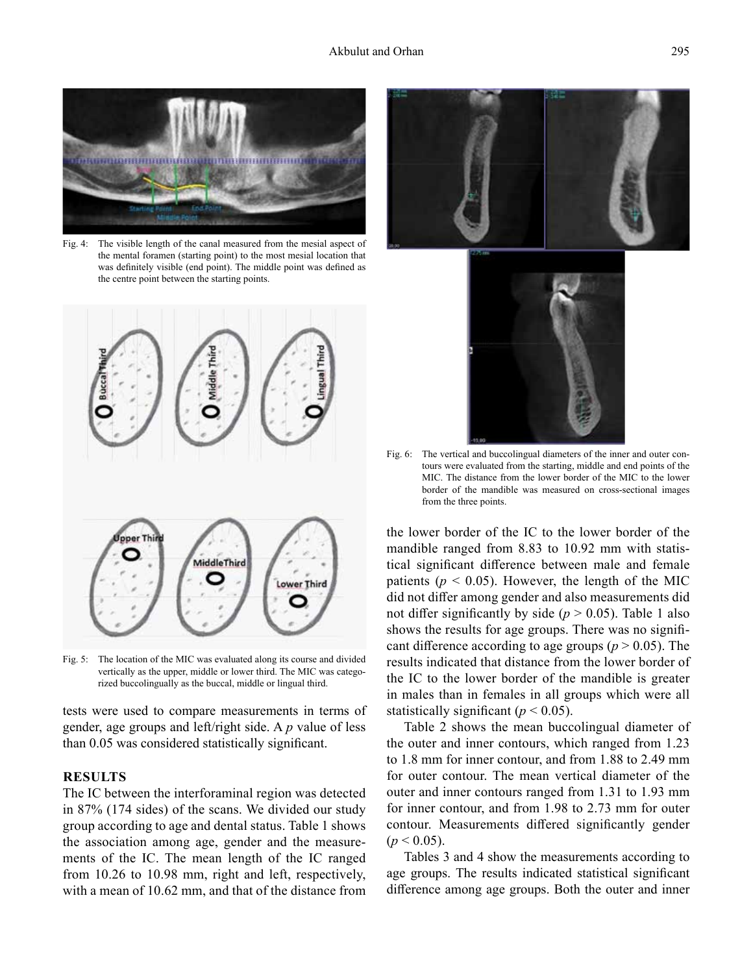

Fig. 4: The visible length of the canal measured from the mesial aspect of the mental foramen (starting point) to the most mesial location that was definitely visible (end point). The middle point was defined as the centre point between the starting points.



Fig. 5: The location of the MIC was evaluated along its course and divided vertically as the upper, middle or lower third. The MIC was categorized buccolingually as the buccal, middle or lingual third.

tests were used to compare measurements in terms of gender, age groups and left/right side. A *p* value of less than 0.05 was considered statistically significant.

## **RESULTS**

The IC between the interforaminal region was detected in 87% (174 sides) of the scans. We divided our study group according to age and dental status. Table 1 shows the association among age, gender and the measurements of the IC. The mean length of the IC ranged from 10.26 to 10.98 mm, right and left, respectively, with a mean of 10.62 mm, and that of the distance from





Fig. 6: The vertical and buccolingual diameters of the inner and outer contours were evaluated from the starting, middle and end points of the MIC. The distance from the lower border of the MIC to the lower border of the mandible was measured on cross-sectional images from the three points.

the lower border of the IC to the lower border of the mandible ranged from 8.83 to 10.92 mm with statistical significant difference between male and female patients ( $p < 0.05$ ). However, the length of the MIC did not differ among gender and also measurements did not differ significantly by side  $(p > 0.05)$ . Table 1 also shows the results for age groups. There was no significant difference according to age groups ( $p > 0.05$ ). The results indicated that distance from the lower border of the IC to the lower border of the mandible is greater in males than in females in all groups which were all statistically significant ( $p < 0.05$ ).

Table 2 shows the mean buccolingual diameter of the outer and inner contours, which ranged from 1.23 to 1.8 mm for inner contour, and from 1.88 to 2.49 mm for outer contour. The mean vertical diameter of the outer and inner contours ranged from 1.31 to 1.93 mm for inner contour, and from 1.98 to 2.73 mm for outer contour. Measurements differed significantly gender  $(p < 0.05)$ .

Tables 3 and 4 show the measurements according to age groups. The results indicated statistical significant difference among age groups. Both the outer and inner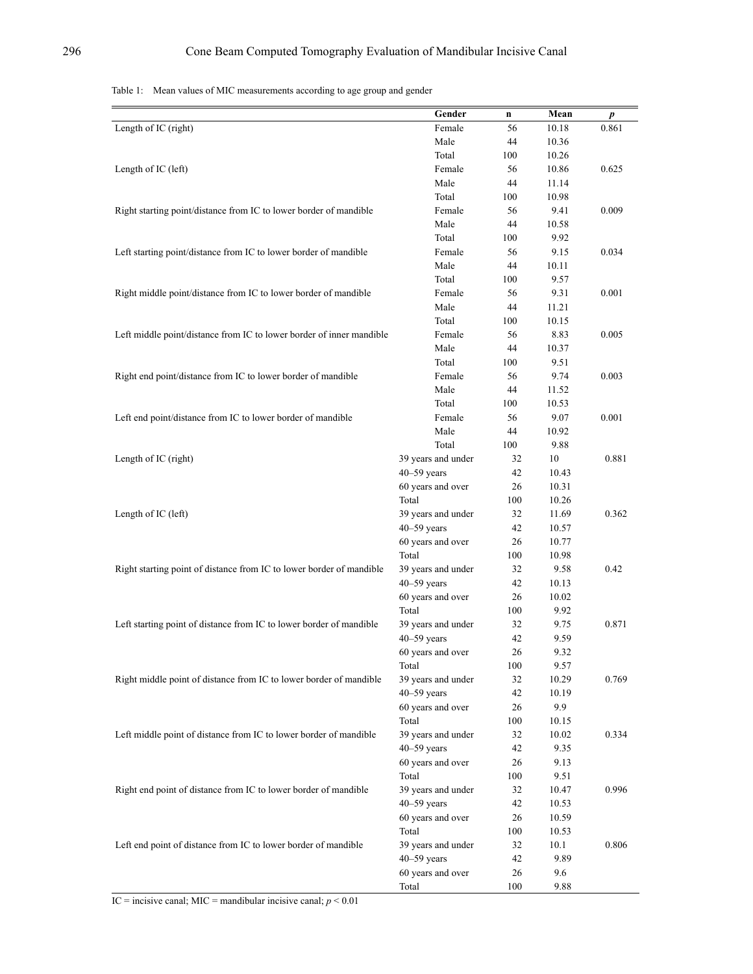|                                                                      | Gender             | n   | Mean  | $\boldsymbol{p}$ |
|----------------------------------------------------------------------|--------------------|-----|-------|------------------|
| Length of IC (right)                                                 | Female             | 56  | 10.18 | 0.861            |
|                                                                      | Male               | 44  | 10.36 |                  |
|                                                                      | Total              | 100 | 10.26 |                  |
| Length of IC (left)                                                  | Female             | 56  | 10.86 | 0.625            |
|                                                                      | Male               | 44  | 11.14 |                  |
|                                                                      | Total              | 100 | 10.98 |                  |
| Right starting point/distance from IC to lower border of mandible    | Female             | 56  | 9.41  | 0.009            |
|                                                                      | Male               | 44  | 10.58 |                  |
|                                                                      | Total              | 100 | 9.92  |                  |
| Left starting point/distance from IC to lower border of mandible     | Female             | 56  | 9.15  | 0.034            |
|                                                                      | Male               | 44  | 10.11 |                  |
|                                                                      | Total              | 100 | 9.57  |                  |
| Right middle point/distance from IC to lower border of mandible      | Female             | 56  | 9.31  | 0.001            |
|                                                                      | Male               | 44  | 11.21 |                  |
|                                                                      | Total              | 100 | 10.15 |                  |
| Left middle point/distance from IC to lower border of inner mandible | Female             | 56  | 8.83  | 0.005            |
|                                                                      | Male               | 44  | 10.37 |                  |
|                                                                      | Total              | 100 | 9.51  |                  |
| Right end point/distance from IC to lower border of mandible         | Female             | 56  | 9.74  | 0.003            |
|                                                                      | Male               | 44  | 11.52 |                  |
|                                                                      | Total              | 100 | 10.53 |                  |
| Left end point/distance from IC to lower border of mandible          | Female             | 56  | 9.07  | 0.001            |
|                                                                      | Male               | 44  | 10.92 |                  |
|                                                                      | Total              | 100 | 9.88  |                  |
| Length of IC (right)                                                 | 39 years and under | 32  | 10    | 0.881            |
|                                                                      | $40 - 59$ years    | 42  | 10.43 |                  |
|                                                                      | 60 years and over  | 26  | 10.31 |                  |
|                                                                      | Total              | 100 | 10.26 |                  |
| Length of IC (left)                                                  | 39 years and under | 32  | 11.69 | 0.362            |
|                                                                      | $40 - 59$ years    | 42  | 10.57 |                  |
|                                                                      | 60 years and over  | 26  | 10.77 |                  |
|                                                                      | Total              | 100 | 10.98 |                  |
| Right starting point of distance from IC to lower border of mandible | 39 years and under | 32  | 9.58  | 0.42             |
|                                                                      | $40 - 59$ years    | 42  | 10.13 |                  |
|                                                                      | 60 years and over  | 26  | 10.02 |                  |
|                                                                      | Total              | 100 | 9.92  |                  |
| Left starting point of distance from IC to lower border of mandible  | 39 years and under | 32  | 9.75  | 0.871            |
|                                                                      | $40 - 59$ years    | 42  | 9.59  |                  |
|                                                                      | 60 years and over  | 26  | 9.32  |                  |
|                                                                      | Total              | 100 | 9.57  |                  |
| Right middle point of distance from IC to lower border of mandible   | 39 years and under | 32  | 10.29 | 0.769            |
|                                                                      | $40 - 59$ years    | 42  | 10.19 |                  |
|                                                                      | 60 years and over  | 26  | 9.9   |                  |
|                                                                      | Total              | 100 | 10.15 |                  |
| Left middle point of distance from IC to lower border of mandible    | 39 years and under | 32  | 10.02 | 0.334            |
|                                                                      | $40 - 59$ years    | 42  | 9.35  |                  |
|                                                                      | 60 years and over  | 26  | 9.13  |                  |
|                                                                      | Total              | 100 | 9.51  |                  |
| Right end point of distance from IC to lower border of mandible      | 39 years and under | 32  | 10.47 | 0.996            |
|                                                                      | $40 - 59$ years    | 42  | 10.53 |                  |
|                                                                      | 60 years and over  | 26  | 10.59 |                  |
|                                                                      | Total              | 100 | 10.53 |                  |
| Left end point of distance from IC to lower border of mandible       | 39 years and under | 32  | 10.1  | 0.806            |
|                                                                      | $40 - 59$ years    | 42  | 9.89  |                  |
|                                                                      | 60 years and over  | 26  | 9.6   |                  |
|                                                                      | Total              | 100 | 9.88  |                  |

Table 1: Mean values of MIC measurements according to age group and gender

 $IC =$  incisive canal; MIC = mandibular incisive canal;  $p \le 0.01$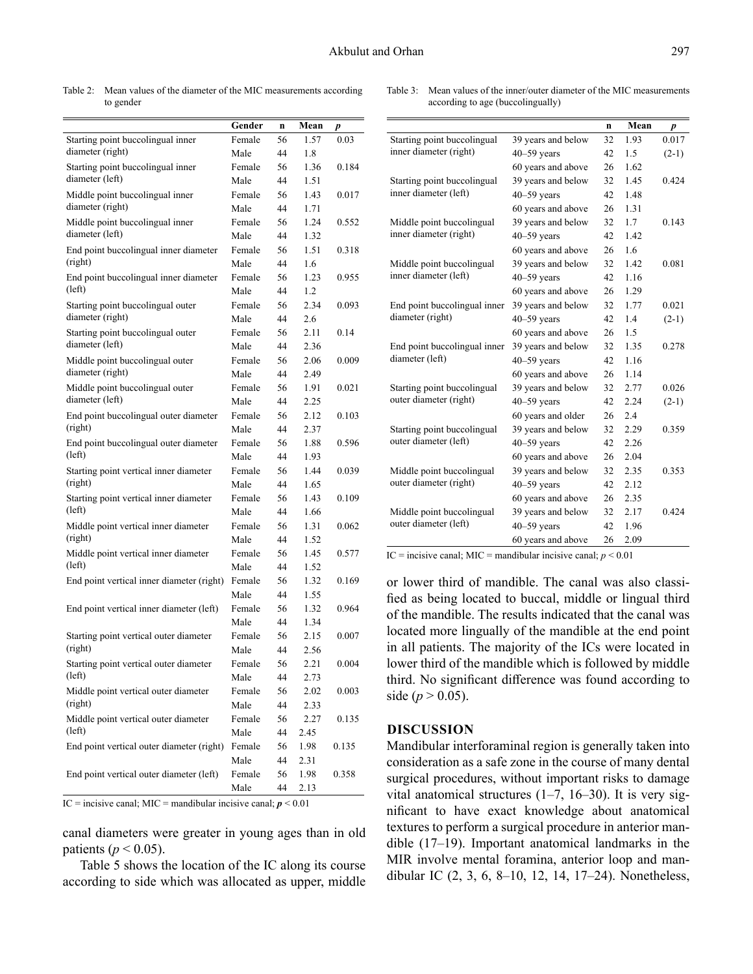Table 2: Mean values of the diameter of the MIC measurements according to gender

|                                                | Gender | n  | Mean | p     |
|------------------------------------------------|--------|----|------|-------|
| Starting point buccolingual inner              | Female | 56 | 1.57 | 0.03  |
| diameter (right)                               | Male   | 44 | 1.8  |       |
| Starting point buccolingual inner              | Female | 56 | 1.36 | 0.184 |
| diameter (left)                                | Male   | 44 | 1.51 |       |
| Middle point buccolingual inner                | Female | 56 | 1.43 | 0.017 |
| diameter (right)                               | Male   | 44 | 1.71 |       |
| Middle point buccolingual inner                | Female | 56 | 1.24 | 0.552 |
| diameter (left)                                | Male   | 44 | 1.32 |       |
| End point buccolingual inner diameter          | Female | 56 | 1.51 | 0.318 |
| (right)                                        | Male   | 44 | 1.6  |       |
| End point buccolingual inner diameter          | Female | 56 | 1.23 | 0.955 |
| (left)                                         | Male   | 44 | 1.2  |       |
| Starting point buccolingual outer              | Female | 56 | 2.34 | 0.093 |
| diameter (right)                               | Male   | 44 | 2.6  |       |
| Starting point buccolingual outer              | Female | 56 | 2.11 | 0.14  |
| diameter (left)                                | Male   | 44 | 2.36 |       |
| Middle point buccolingual outer                | Female | 56 | 2.06 | 0.009 |
| diameter (right)                               | Male   | 44 | 2.49 |       |
| Middle point buccolingual outer                | Female | 56 | 1.91 | 0.021 |
| diameter (left)                                | Male   | 44 | 2.25 |       |
| End point buccolingual outer diameter          | Female | 56 | 2.12 | 0.103 |
| (right)                                        | Male   | 44 | 2.37 |       |
| End point buccolingual outer diameter          | Female | 56 | 1.88 | 0.596 |
| (left)                                         | Male   | 44 | 1.93 |       |
| Starting point vertical inner diameter         | Female | 56 | 1.44 | 0.039 |
| (right)                                        | Male   | 44 | 1.65 |       |
| Starting point vertical inner diameter         | Female | 56 | 1.43 | 0.109 |
| (left)                                         | Male   | 44 | 1.66 |       |
| Middle point vertical inner diameter           | Female | 56 | 1.31 | 0.062 |
| (right)                                        | Male   | 44 | 1.52 |       |
| Middle point vertical inner diameter           | Female | 56 | 1.45 | 0.577 |
| (left)                                         | Male   | 44 | 1.52 |       |
| End point vertical inner diameter (right)      | Female | 56 | 1.32 | 0.169 |
|                                                | Male   | 44 | 1.55 |       |
| End point vertical inner diameter (left)       | Female | 56 | 1.32 | 0.964 |
|                                                | Male   | 44 | 1.34 |       |
| Starting point vertical outer diameter         | Female | 56 | 2.15 | 0.007 |
| (right)                                        | Male   | 44 | 2.56 |       |
| Starting point vertical outer diameter         | Female | 56 | 2.21 | 0.004 |
| (left)                                         | Male   | 44 | 2.73 |       |
| Middle point vertical outer diameter           | Female | 56 | 2.02 | 0.003 |
| (right)                                        | Male   | 44 | 2.33 |       |
| Middle point vertical outer diameter<br>(left) | Female | 56 | 2.27 | 0.135 |
|                                                | Male   | 44 | 2.45 |       |
| End point vertical outer diameter (right)      | Female | 56 | 1.98 | 0.135 |
|                                                | Male   | 44 | 2.31 |       |
| End point vertical outer diameter (left)       | Female | 56 | 1.98 | 0.358 |
|                                                | Male   | 44 | 2.13 |       |

IC = incisive canal;  $MIC$  = mandibular incisive canal;  $p < 0.01$ 

canal diameters were greater in young ages than in old patients ( $p < 0.05$ ).

Table 5 shows the location of the IC along its course according to side which was allocated as upper, middle

Table 3: Mean values of the inner/outer diameter of the MIC measurements according to age (buccolingually)

|                              |                    | n  | Mean | p       |
|------------------------------|--------------------|----|------|---------|
| Starting point buccolingual  | 39 years and below | 32 | 1.93 | 0.017   |
| inner diameter (right)       | $40 - 59$ years    | 42 | 1.5  | $(2-1)$ |
|                              | 60 years and above | 26 | 1.62 |         |
| Starting point buccolingual  | 39 years and below | 32 | 1.45 | 0.424   |
| inner diameter (left)        | $40 - 59$ years    | 42 | 1.48 |         |
|                              | 60 years and above | 26 | 1.31 |         |
| Middle point buccolingual    | 39 years and below | 32 | 1.7  | 0.143   |
| inner diameter (right)       | $40 - 59$ years    | 42 | 1.42 |         |
|                              | 60 years and above | 26 | 1.6  |         |
| Middle point buccolingual    | 39 years and below | 32 | 1.42 | 0.081   |
| inner diameter (left)        | $40 - 59$ years    | 42 | 1.16 |         |
|                              | 60 years and above | 26 | 1.29 |         |
| End point buccolingual inner | 39 years and below | 32 | 1.77 | 0.021   |
| diameter (right)             | $40 - 59$ years    | 42 | 1.4  | $(2-1)$ |
|                              | 60 years and above | 26 | 1.5  |         |
| End point buccolingual inner | 39 years and below | 32 | 1.35 | 0.278   |
| diameter (left)              | $40 - 59$ years    | 42 | 1.16 |         |
|                              | 60 years and above | 26 | 1.14 |         |
| Starting point buccolingual  | 39 years and below | 32 | 2.77 | 0.026   |
| outer diameter (right)       | $40 - 59$ years    | 42 | 2.24 | $(2-1)$ |
|                              | 60 years and older | 26 | 2.4  |         |
| Starting point buccolingual  | 39 years and below | 32 | 2.29 | 0.359   |
| outer diameter (left)        | $40 - 59$ years    | 42 | 2.26 |         |
|                              | 60 years and above | 26 | 2.04 |         |
| Middle point buccolingual    | 39 years and below | 32 | 2.35 | 0.353   |
| outer diameter (right)       | $40 - 59$ years    | 42 | 2.12 |         |
|                              | 60 years and above | 26 | 2.35 |         |
| Middle point buccolingual    | 39 years and below | 32 | 2.17 | 0.424   |
| outer diameter (left)        | $40 - 59$ years    | 42 | 1.96 |         |
|                              | 60 years and above | 26 | 2.09 |         |

IC = incisive canal;  $MIC$  = mandibular incisive canal;  $p < 0.01$ 

or lower third of mandible. The canal was also classified as being located to buccal, middle or lingual third of the mandible. The results indicated that the canal was located more lingually of the mandible at the end point in all patients. The majority of the ICs were located in lower third of the mandible which is followed by middle third. No significant difference was found according to side ( $p > 0.05$ ).

# **DISCUSSION**

Mandibular interforaminal region is generally taken into consideration as a safe zone in the course of many dental surgical procedures, without important risks to damage vital anatomical structures  $(1-7, 16-30)$ . It is very significant to have exact knowledge about anatomical textures to perform a surgical procedure in anterior mandible (17–19). Important anatomical landmarks in the MIR involve mental foramina, anterior loop and mandibular IC (2, 3, 6, 8–10, 12, 14, 17–24). Nonetheless,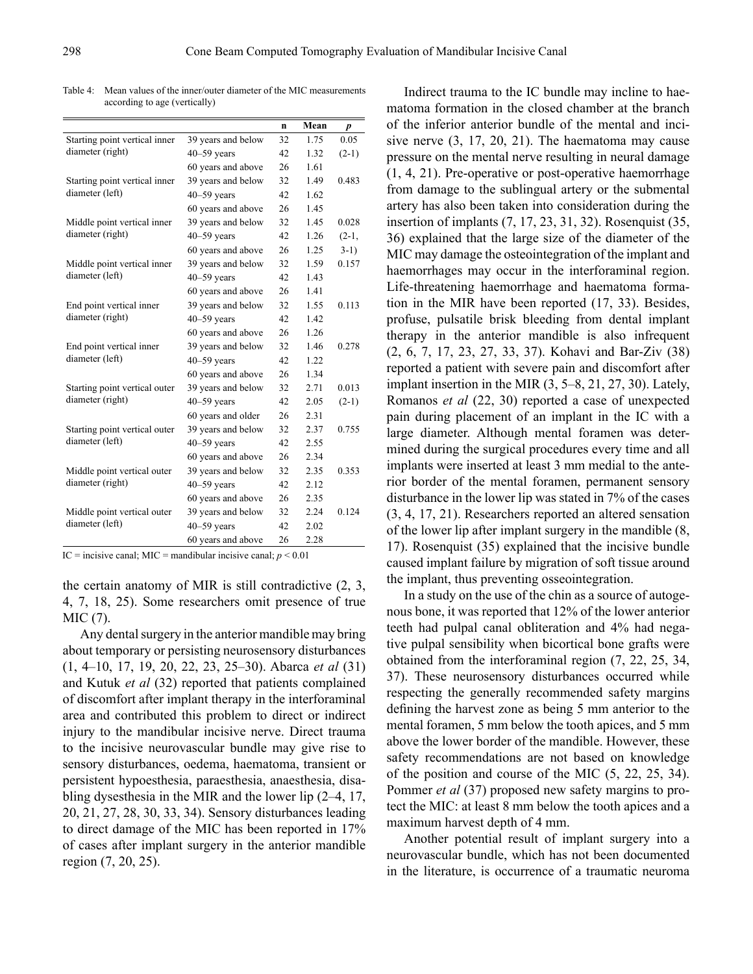|                                                   |                    | n  | Mean | p       |
|---------------------------------------------------|--------------------|----|------|---------|
| Starting point vertical inner                     | 39 years and below | 32 | 1.75 | 0.05    |
| diameter (right)                                  | $40 - 59$ years    | 42 | 1.32 | $(2-1)$ |
|                                                   | 60 years and above | 26 | 1.61 |         |
| Starting point vertical inner                     | 39 years and below | 32 | 1.49 | 0.483   |
| diameter (left)                                   | $40 - 59$ years    | 42 | 1.62 |         |
|                                                   | 60 years and above | 26 | 1.45 |         |
| Middle point vertical inner                       | 39 years and below | 32 | 1.45 | 0.028   |
| diameter (right)                                  | $40 - 59$ years    | 42 | 1.26 | $(2-1,$ |
|                                                   | 60 years and above | 26 | 1.25 | $3-1)$  |
| Middle point vertical inner                       | 39 years and below | 32 | 1.59 | 0.157   |
| diameter (left)                                   | $40 - 59$ years    | 42 | 1.43 |         |
|                                                   | 60 years and above | 26 | 1.41 |         |
| End point vertical inner                          | 39 years and below | 32 | 1.55 | 0.113   |
| diameter (right)                                  | $40 - 59$ years    | 42 | 1.42 |         |
|                                                   | 60 years and above | 26 | 1.26 |         |
| End point vertical inner                          | 39 years and below | 32 | 1.46 | 0.278   |
| diameter (left)                                   | $40 - 59$ years    | 42 | 1.22 |         |
|                                                   | 60 years and above | 26 | 1.34 |         |
| Starting point vertical outer                     | 39 years and below | 32 | 2.71 | 0.013   |
| diameter (right)                                  | $40 - 59$ years    | 42 | 2.05 | $(2-1)$ |
|                                                   | 60 years and older | 26 | 2.31 |         |
| Starting point vertical outer                     | 39 years and below | 32 | 2.37 | 0.755   |
| diameter (left)                                   | $40 - 59$ years    | 42 | 2.55 |         |
|                                                   | 60 years and above | 26 | 2.34 |         |
| Middle point vertical outer                       | 39 years and below | 32 | 2.35 | 0.353   |
| diameter (right)                                  | $40 - 59$ years    | 42 | 2.12 |         |
|                                                   | 60 years and above | 26 | 2.35 |         |
| 39 years and below<br>Middle point vertical outer |                    | 32 | 2.24 | 0.124   |
| diameter (left)                                   | $40 - 59$ years    | 42 | 2.02 |         |
|                                                   | 60 years and above | 26 | 2.28 |         |

Table 4: Mean values of the inner/outer diameter of the MIC measurements according to age (vertically)

IC = incisive canal;  $MIC =$  mandibular incisive canal;  $p \le 0.01$ 

the certain anatomy of MIR is still contradictive (2, 3, 4, 7, 18, 25). Some researchers omit presence of true MIC (7).

Any dental surgery in the anterior mandible may bring about temporary or persisting neurosensory disturbances (1, 4–10, 17, 19, 20, 22, 23, 25–30). Abarca *et al* (31) and Kutuk *et al* (32) reported that patients complained of discomfort after implant therapy in the interforaminal area and contributed this problem to direct or indirect injury to the mandibular incisive nerve. Direct trauma to the incisive neurovascular bundle may give rise to sensory disturbances, oedema, haematoma, transient or persistent hypoesthesia, paraesthesia, anaesthesia, disabling dysesthesia in the MIR and the lower lip (2–4, 17, 20, 21, 27, 28, 30, 33, 34). Sensory disturbances leading to direct damage of the MIC has been reported in 17% of cases after implant surgery in the anterior mandible region (7, 20, 25).

Indirect trauma to the IC bundle may incline to haematoma formation in the closed chamber at the branch of the inferior anterior bundle of the mental and incisive nerve (3, 17, 20, 21). The haematoma may cause pressure on the mental nerve resulting in neural damage (1, 4, 21). Pre-operative or post-operative haemorrhage from damage to the sublingual artery or the submental artery has also been taken into consideration during the insertion of implants (7, 17, 23, 31, 32). Rosenquist (35, 36) explained that the large size of the diameter of the MIC may damage the osteointegration of the implant and haemorrhages may occur in the interforaminal region. Life-threatening haemorrhage and haematoma formation in the MIR have been reported (17, 33). Besides, profuse, pulsatile brisk bleeding from dental implant therapy in the anterior mandible is also infrequent (2, 6, 7, 17, 23, 27, 33, 37). Kohavi and Bar-Ziv (38) reported a patient with severe pain and discomfort after implant insertion in the MIR (3, 5–8, 21, 27, 30). Lately, Romanos *et al* (22, 30) reported a case of unexpected pain during placement of an implant in the IC with a large diameter. Although mental foramen was determined during the surgical procedures every time and all implants were inserted at least 3 mm medial to the anterior border of the mental foramen, permanent sensory disturbance in the lower lip was stated in 7% of the cases (3, 4, 17, 21). Researchers reported an altered sensation of the lower lip after implant surgery in the mandible (8, 17). Rosenquist (35) explained that the incisive bundle caused implant failure by migration of soft tissue around the implant, thus preventing osseointegration.

In a study on the use of the chin as a source of autogenous bone, it was reported that 12% of the lower anterior teeth had pulpal canal obliteration and 4% had negative pulpal sensibility when bicortical bone grafts were obtained from the interforaminal region (7, 22, 25, 34, 37). These neurosensory disturbances occurred while respecting the generally recommended safety margins defining the harvest zone as being 5 mm anterior to the mental foramen, 5 mm below the tooth apices, and 5 mm above the lower border of the mandible. However, these safety recommendations are not based on knowledge of the position and course of the MIC (5, 22, 25, 34). Pommer *et al* (37) proposed new safety margins to protect the MIC: at least 8 mm below the tooth apices and a maximum harvest depth of 4 mm.

Another potential result of implant surgery into a neurovascular bundle, which has not been documented in the literature, is occurrence of a traumatic neuroma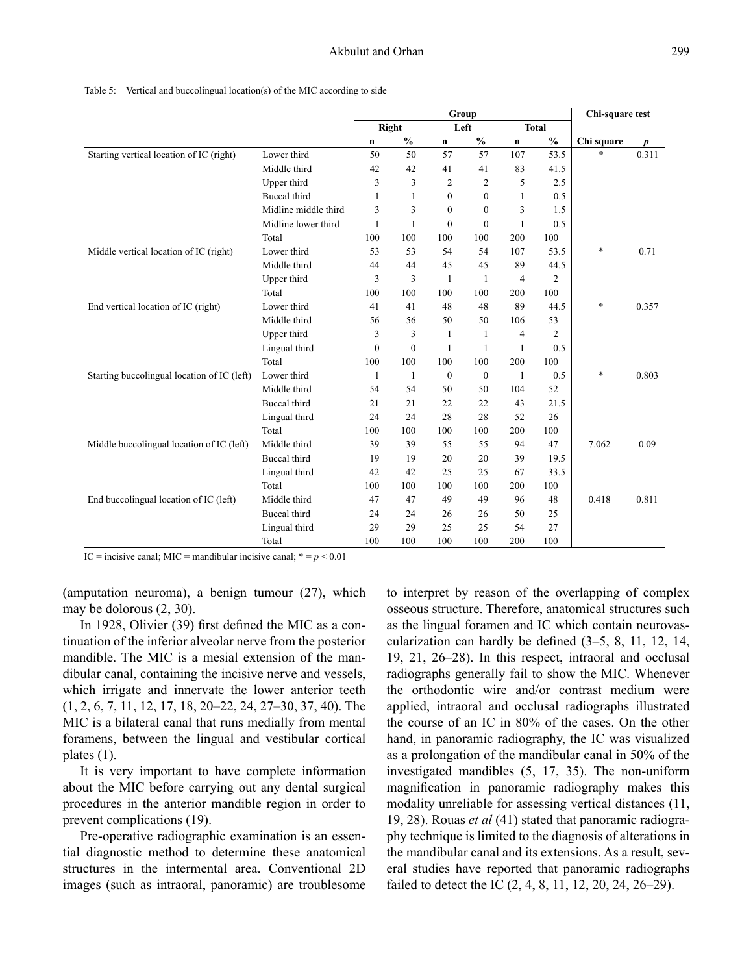Table 5: Vertical and buccolingual location(s) of the MIC according to side

|                                             |                      | Group        |                                    |                |               |                | Chi-square test |            |                  |
|---------------------------------------------|----------------------|--------------|------------------------------------|----------------|---------------|----------------|-----------------|------------|------------------|
|                                             |                      |              | <b>Right</b>                       | Left           |               | <b>Total</b>   |                 |            |                  |
|                                             |                      | $\mathbf n$  | $\mathbf{0}_{\mathbf{0}}^{\prime}$ | $\mathbf n$    | $\frac{0}{0}$ | $\mathbf n$    | $\frac{0}{0}$   | Chi square | $\boldsymbol{p}$ |
| Starting vertical location of IC (right)    | Lower third          | 50           | 50                                 | 57             | 57            | 107            | 53.5            | $\ast$     | 0.311            |
|                                             | Middle third         | 42           | 42                                 | 41             | 41            | 83             | 41.5            |            |                  |
|                                             | Upper third          | 3            | 3                                  | $\overline{c}$ | 2             | 5              | 2.5             |            |                  |
|                                             | <b>Buccal</b> third  | 1            | 1                                  | $\Omega$       | $\theta$      | 1              | 0.5             |            |                  |
|                                             | Midline middle third | 3            | 3                                  | $\Omega$       | $\theta$      | 3              | 1.5             |            |                  |
|                                             | Midline lower third  | $\mathbf{1}$ | 1                                  | $\Omega$       | $\mathbf{0}$  | $\mathbf{1}$   | 0.5             |            |                  |
|                                             | Total                | 100          | 100                                | 100            | 100           | 200            | 100             |            |                  |
| Middle vertical location of IC (right)      | Lower third          | 53           | 53                                 | 54             | 54            | 107            | 53.5            | $\ast$     | 0.71             |
|                                             | Middle third         | 44           | 44                                 | 45             | 45            | 89             | 44.5            |            |                  |
|                                             | Upper third          | 3            | 3                                  | $\mathbf{1}$   | $\mathbf{1}$  | $\overline{4}$ | 2               |            |                  |
|                                             | Total                | 100          | 100                                | 100            | 100           | 200            | 100             |            |                  |
| End vertical location of IC (right)         | Lower third          | 41           | 41                                 | 48             | 48            | 89             | 44.5            | $\ast$     | 0.357            |
|                                             | Middle third         | 56           | 56                                 | 50             | 50            | 106            | 53              |            |                  |
|                                             | Upper third          | 3            | 3                                  | 1              | 1             | 4              | $\overline{c}$  |            |                  |
|                                             | Lingual third        | $\mathbf{0}$ | $\mathbf{0}$                       | $\mathbf{1}$   | $\mathbf{1}$  | $\mathbf{1}$   | 0.5             |            |                  |
|                                             | Total                | 100          | 100                                | 100            | 100           | 200            | 100             |            |                  |
| Starting buccolingual location of IC (left) | Lower third          | $\mathbf{1}$ | 1                                  | $\mathbf{0}$   | $\theta$      | $\mathbf{1}$   | 0.5             | $\ast$     | 0.803            |
|                                             | Middle third         | 54           | 54                                 | 50             | 50            | 104            | 52              |            |                  |
|                                             | Buccal third         | 21           | 21                                 | 22             | 22            | 43             | 21.5            |            |                  |
|                                             | Lingual third        | 24           | 24                                 | 28             | 28            | 52             | 26              |            |                  |
|                                             | Total                | 100          | 100                                | 100            | 100           | 200            | 100             |            |                  |
| Middle buccolingual location of IC (left)   | Middle third         | 39           | 39                                 | 55             | 55            | 94             | 47              | 7.062      | 0.09             |
|                                             | Buccal third         | 19           | 19                                 | 20             | 20            | 39             | 19.5            |            |                  |
|                                             | Lingual third        | 42           | 42                                 | 25             | 25            | 67             | 33.5            |            |                  |
|                                             | Total                | 100          | 100                                | 100            | 100           | 200            | 100             |            |                  |
| End buccolingual location of IC (left)      | Middle third         | 47           | 47                                 | 49             | 49            | 96             | 48              | 0.418      | 0.811            |
|                                             | Buccal third         | 24           | 24                                 | 26             | 26            | 50             | 25              |            |                  |
|                                             | Lingual third        | 29           | 29                                 | 25             | 25            | 54             | 27              |            |                  |
|                                             | Total                | 100          | 100                                | 100            | 100           | 200            | 100             |            |                  |

IC = incisive canal;  $MIC$  = mandibular incisive canal;  $* = p < 0.01$ 

(amputation neuroma), a benign tumour (27), which may be dolorous (2, 30).

In 1928, Olivier (39) first defined the MIC as a continuation of the inferior alveolar nerve from the posterior mandible. The MIC is a mesial extension of the mandibular canal, containing the incisive nerve and vessels, which irrigate and innervate the lower anterior teeth (1, 2, 6, 7, 11, 12, 17, 18, 20–22, 24, 27–30, 37, 40). The MIC is a bilateral canal that runs medially from mental foramens, between the lingual and vestibular cortical plates (1).

It is very important to have complete information about the MIC before carrying out any dental surgical procedures in the anterior mandible region in order to prevent complications (19).

Pre-operative radiographic examination is an essential diagnostic method to determine these anatomical structures in the intermental area. Conventional 2D images (such as intraoral, panoramic) are troublesome to interpret by reason of the overlapping of complex osseous structure. Therefore, anatomical structures such as the lingual foramen and IC which contain neurovascularization can hardly be defined (3–5, 8, 11, 12, 14, 19, 21, 26–28). In this respect, intraoral and occlusal radiographs generally fail to show the MIC. Whenever the orthodontic wire and/or contrast medium were applied, intraoral and occlusal radiographs illustrated the course of an IC in 80% of the cases. On the other hand, in panoramic radiography, the IC was visualized as a prolongation of the mandibular canal in 50% of the investigated mandibles (5, 17, 35). The non-uniform magnification in panoramic radiography makes this modality unreliable for assessing vertical distances (11, 19, 28). Rouas *et al* (41) stated that panoramic radiography technique is limited to the diagnosis of alterations in the mandibular canal and its extensions. As a result, several studies have reported that panoramic radiographs failed to detect the IC (2, 4, 8, 11, 12, 20, 24, 26–29).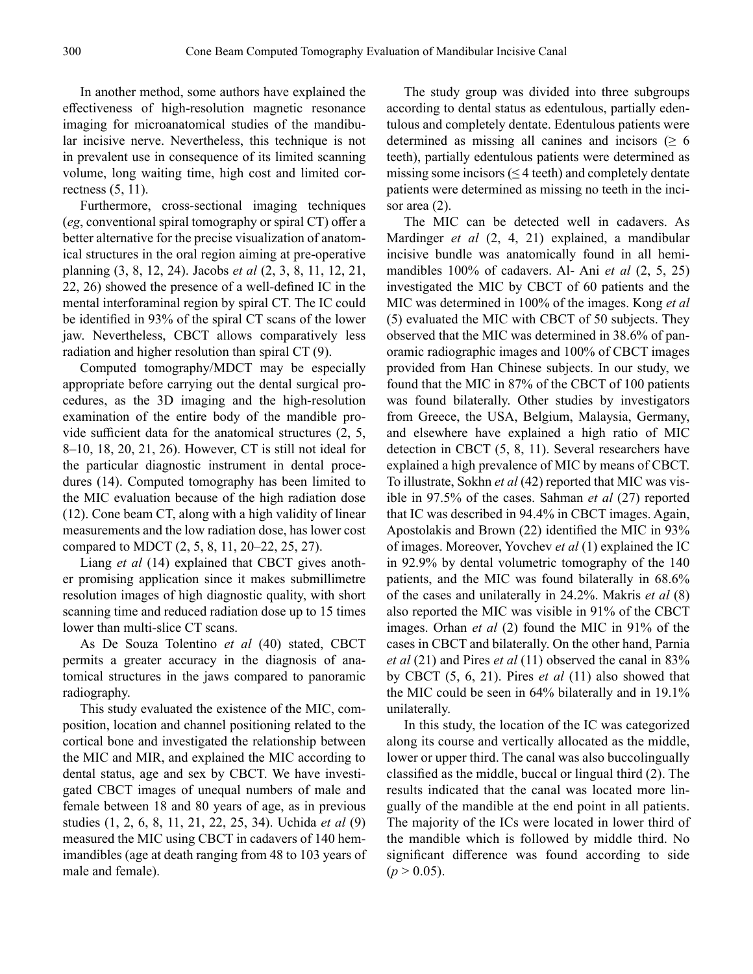In another method, some authors have explained the effectiveness of high-resolution magnetic resonance imaging for microanatomical studies of the mandibular incisive nerve. Nevertheless, this technique is not in prevalent use in consequence of its limited scanning volume, long waiting time, high cost and limited correctness (5, 11).

Furthermore, cross-sectional imaging techniques (*eg*, conventional spiral tomography or spiral CT) offer a better alternative for the precise visualization of anatomical structures in the oral region aiming at pre-operative planning (3, 8, 12, 24). Jacobs *et al* (2, 3, 8, 11, 12, 21, 22, 26) showed the presence of a well-defined IC in the mental interforaminal region by spiral CT. The IC could be identified in 93% of the spiral CT scans of the lower jaw. Nevertheless, CBCT allows comparatively less radiation and higher resolution than spiral CT (9).

Computed tomography/MDCT may be especially appropriate before carrying out the dental surgical procedures, as the 3D imaging and the high-resolution examination of the entire body of the mandible provide sufficient data for the anatomical structures (2, 5, 8–10, 18, 20, 21, 26). However, CT is still not ideal for the particular diagnostic instrument in dental procedures (14). Computed tomography has been limited to the MIC evaluation because of the high radiation dose (12). Cone beam CT, along with a high validity of linear measurements and the low radiation dose, has lower cost compared to MDCT (2, 5, 8, 11, 20–22, 25, 27).

Liang *et al* (14) explained that CBCT gives another promising application since it makes submillimetre resolution images of high diagnostic quality, with short scanning time and reduced radiation dose up to 15 times lower than multi-slice CT scans.

As De Souza Tolentino *et al* (40) stated, CBCT permits a greater accuracy in the diagnosis of anatomical structures in the jaws compared to panoramic radiography.

This study evaluated the existence of the MIC, composition, location and channel positioning related to the cortical bone and investigated the relationship between the MIC and MIR, and explained the MIC according to dental status, age and sex by CBCT. We have investigated CBCT images of unequal numbers of male and female between 18 and 80 years of age, as in previous studies (1, 2, 6, 8, 11, 21, 22, 25, 34). Uchida *et al* (9) measured the MIC using CBCT in cadavers of 140 hemimandibles (age at death ranging from 48 to 103 years of male and female).

The study group was divided into three subgroups according to dental status as edentulous, partially edentulous and completely dentate. Edentulous patients were determined as missing all canines and incisors ( $\geq 6$ ) teeth), partially edentulous patients were determined as missing some incisors  $(\leq 4 \text{ teeth})$  and completely dentate patients were determined as missing no teeth in the incisor area (2).

The MIC can be detected well in cadavers. As Mardinger *et al* (2, 4, 21) explained, a mandibular incisive bundle was anatomically found in all hemimandibles 100% of cadavers. Al- Ani *et al* (2, 5, 25) investigated the MIC by CBCT of 60 patients and the MIC was determined in 100% of the images. Kong *et al*  (5) evaluated the MIC with CBCT of 50 subjects. They observed that the MIC was determined in 38.6% of panoramic radiographic images and 100% of CBCT images provided from Han Chinese subjects. In our study, we found that the MIC in 87% of the CBCT of 100 patients was found bilaterally. Other studies by investigators from Greece, the USA, Belgium, Malaysia, Germany, and elsewhere have explained a high ratio of MIC detection in CBCT (5, 8, 11). Several researchers have explained a high prevalence of MIC by means of CBCT. To illustrate, Sokhn *et al* (42) reported that MIC was visible in 97.5% of the cases. Sahman *et al* (27) reported that IC was described in 94.4% in CBCT images. Again, Apostolakis and Brown (22) identified the MIC in 93% of images. Moreover, Yovchev *et al* (1) explained the IC in 92.9% by dental volumetric tomography of the 140 patients, and the MIC was found bilaterally in 68.6% of the cases and unilaterally in 24.2%. Makris *et al* (8) also reported the MIC was visible in 91% of the CBCT images. Orhan *et al* (2) found the MIC in 91% of the cases in CBCT and bilaterally. On the other hand, Parnia *et al* (21) and Pires *et al* (11) observed the canal in 83% by CBCT (5, 6, 21). Pires *et al* (11) also showed that the MIC could be seen in 64% bilaterally and in 19.1% unilaterally.

In this study, the location of the IC was categorized along its course and vertically allocated as the middle, lower or upper third. The canal was also buccolingually classified as the middle, buccal or lingual third (2). The results indicated that the canal was located more lingually of the mandible at the end point in all patients. The majority of the ICs were located in lower third of the mandible which is followed by middle third. No significant difference was found according to side  $(p > 0.05)$ .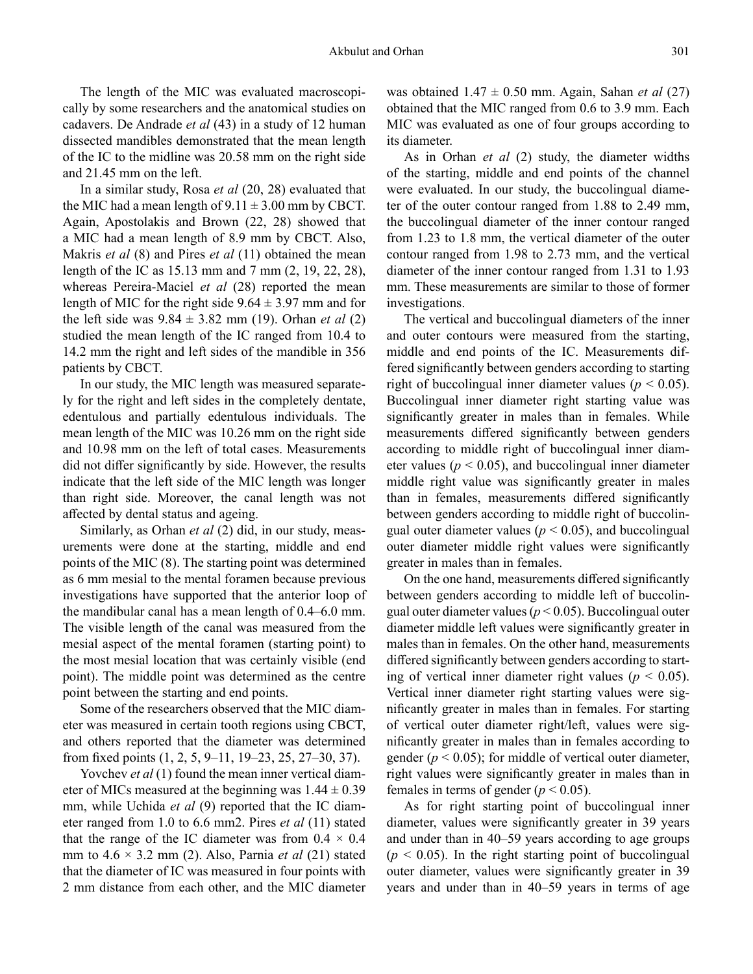The length of the MIC was evaluated macroscopically by some researchers and the anatomical studies on cadavers. De Andrade *et al* (43) in a study of 12 human dissected mandibles demonstrated that the mean length of the IC to the midline was 20.58 mm on the right side and 21.45 mm on the left.

In a similar study, Rosa *et al* (20, 28) evaluated that the MIC had a mean length of  $9.11 \pm 3.00$  mm by CBCT. Again, Apostolakis and Brown (22, 28) showed that a MIC had a mean length of 8.9 mm by CBCT. Also, Makris *et al* (8) and Pires *et al* (11) obtained the mean length of the IC as 15.13 mm and 7 mm (2, 19, 22, 28), whereas Pereira-Maciel *et al* (28) reported the mean length of MIC for the right side  $9.64 \pm 3.97$  mm and for the left side was  $9.84 \pm 3.82$  mm (19). Orhan *et al* (2) studied the mean length of the IC ranged from 10.4 to 14.2 mm the right and left sides of the mandible in 356 patients by CBCT.

In our study, the MIC length was measured separately for the right and left sides in the completely dentate, edentulous and partially edentulous individuals. The mean length of the MIC was 10.26 mm on the right side and 10.98 mm on the left of total cases. Measurements did not differ significantly by side. However, the results indicate that the left side of the MIC length was longer than right side. Moreover, the canal length was not affected by dental status and ageing.

Similarly, as Orhan *et al* (2) did, in our study, measurements were done at the starting, middle and end points of the MIC (8). The starting point was determined as 6 mm mesial to the mental foramen because previous investigations have supported that the anterior loop of the mandibular canal has a mean length of 0.4–6.0 mm. The visible length of the canal was measured from the mesial aspect of the mental foramen (starting point) to the most mesial location that was certainly visible (end point). The middle point was determined as the centre point between the starting and end points.

Some of the researchers observed that the MIC diameter was measured in certain tooth regions using CBCT, and others reported that the diameter was determined from fixed points (1, 2, 5, 9–11, 19–23, 25, 27–30, 37).

Yovchev *et al* (1) found the mean inner vertical diameter of MICs measured at the beginning was  $1.44 \pm 0.39$ mm, while Uchida *et al* (9) reported that the IC diameter ranged from 1.0 to 6.6 mm2. Pires *et al* (11) stated that the range of the IC diameter was from  $0.4 \times 0.4$ mm to 4.6 × 3.2 mm (2). Also, Parnia *et al* (21) stated that the diameter of IC was measured in four points with 2 mm distance from each other, and the MIC diameter was obtained 1.47 ± 0.50 mm. Again, Sahan *et al* (27) obtained that the MIC ranged from 0.6 to 3.9 mm. Each MIC was evaluated as one of four groups according to its diameter.

As in Orhan *et al* (2) study, the diameter widths of the starting, middle and end points of the channel were evaluated. In our study, the buccolingual diameter of the outer contour ranged from 1.88 to 2.49 mm, the buccolingual diameter of the inner contour ranged from 1.23 to 1.8 mm, the vertical diameter of the outer contour ranged from 1.98 to 2.73 mm, and the vertical diameter of the inner contour ranged from 1.31 to 1.93 mm. These measurements are similar to those of former investigations.

The vertical and buccolingual diameters of the inner and outer contours were measured from the starting, middle and end points of the IC. Measurements differed significantly between genders according to starting right of buccolingual inner diameter values ( $p < 0.05$ ). Buccolingual inner diameter right starting value was significantly greater in males than in females. While measurements differed significantly between genders according to middle right of buccolingual inner diameter values ( $p < 0.05$ ), and buccolingual inner diameter middle right value was significantly greater in males than in females, measurements differed significantly between genders according to middle right of buccolingual outer diameter values ( $p < 0.05$ ), and buccolingual outer diameter middle right values were significantly greater in males than in females.

On the one hand, measurements differed significantly between genders according to middle left of buccolingual outer diameter values (*p* < 0.05). Buccolingual outer diameter middle left values were significantly greater in males than in females. On the other hand, measurements differed significantly between genders according to starting of vertical inner diameter right values ( $p < 0.05$ ). Vertical inner diameter right starting values were significantly greater in males than in females. For starting of vertical outer diameter right/left, values were significantly greater in males than in females according to gender ( $p < 0.05$ ); for middle of vertical outer diameter, right values were significantly greater in males than in females in terms of gender  $(p < 0.05)$ .

As for right starting point of buccolingual inner diameter, values were significantly greater in 39 years and under than in 40–59 years according to age groups  $(p < 0.05)$ . In the right starting point of buccolingual outer diameter, values were significantly greater in 39 years and under than in 40–59 years in terms of age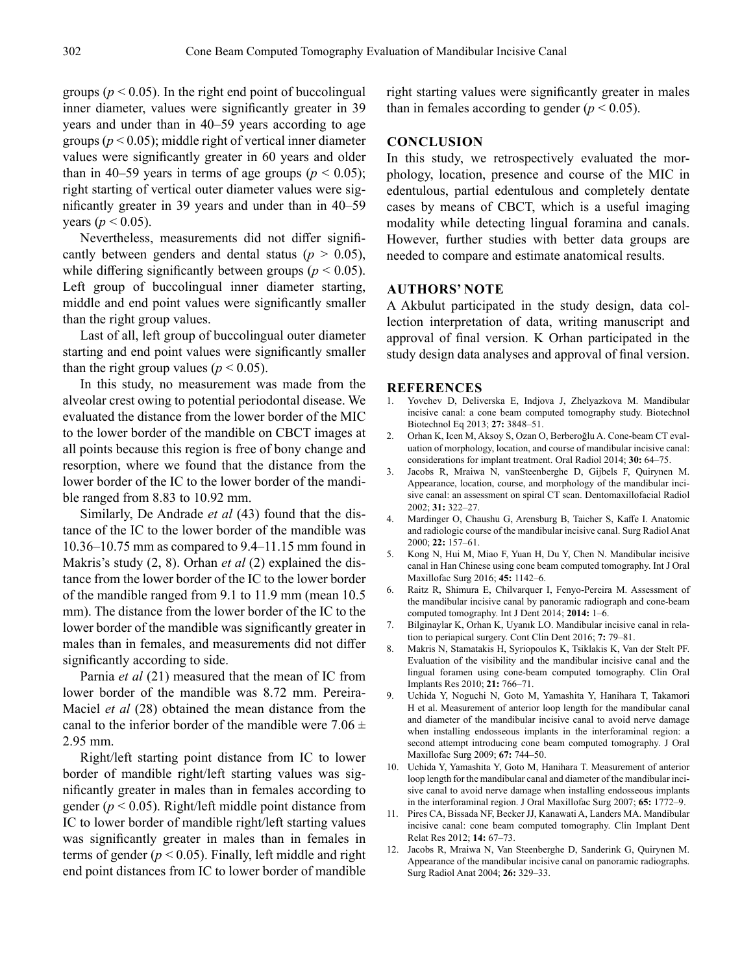groups ( $p < 0.05$ ). In the right end point of buccolingual inner diameter, values were significantly greater in 39 years and under than in 40–59 years according to age groups ( $p < 0.05$ ); middle right of vertical inner diameter values were significantly greater in 60 years and older than in 40–59 years in terms of age groups ( $p < 0.05$ ); right starting of vertical outer diameter values were significantly greater in 39 years and under than in 40–59 years ( $p < 0.05$ ).

Nevertheless, measurements did not differ significantly between genders and dental status ( $p > 0.05$ ), while differing significantly between groups ( $p < 0.05$ ). Left group of buccolingual inner diameter starting, middle and end point values were significantly smaller than the right group values.

Last of all, left group of buccolingual outer diameter starting and end point values were significantly smaller than the right group values ( $p < 0.05$ ).

In this study, no measurement was made from the alveolar crest owing to potential periodontal disease. We evaluated the distance from the lower border of the MIC to the lower border of the mandible on CBCT images at all points because this region is free of bony change and resorption, where we found that the distance from the lower border of the IC to the lower border of the mandible ranged from 8.83 to 10.92 mm.

Similarly, De Andrade *et al* (43) found that the distance of the IC to the lower border of the mandible was 10.36–10.75 mm as compared to 9.4–11.15 mm found in Makris's study (2, 8). Orhan *et al* (2) explained the distance from the lower border of the IC to the lower border of the mandible ranged from 9.1 to 11.9 mm (mean 10.5 mm). The distance from the lower border of the IC to the lower border of the mandible was significantly greater in males than in females, and measurements did not differ significantly according to side.

Parnia *et al* (21) measured that the mean of IC from lower border of the mandible was 8.72 mm. Pereira-Maciel *et al* (28) obtained the mean distance from the canal to the inferior border of the mandible were  $7.06 \pm$ 2.95 mm.

Right/left starting point distance from IC to lower border of mandible right/left starting values was significantly greater in males than in females according to gender ( $p < 0.05$ ). Right/left middle point distance from IC to lower border of mandible right/left starting values was significantly greater in males than in females in terms of gender  $(p < 0.05)$ . Finally, left middle and right end point distances from IC to lower border of mandible

right starting values were significantly greater in males than in females according to gender  $(p < 0.05)$ .

## **CONCLUSION**

In this study, we retrospectively evaluated the morphology, location, presence and course of the MIC in edentulous, partial edentulous and completely dentate cases by means of CBCT, which is a useful imaging modality while detecting lingual foramina and canals. However, further studies with better data groups are needed to compare and estimate anatomical results.

#### **AUTHORS' NOTE**

A Akbulut participated in the study design, data collection interpretation of data, writing manuscript and approval of final version. K Orhan participated in the study design data analyses and approval of final version.

#### **REFERENCES**

- 1. Yovchev D, Deliverska E, Indjova J, Zhelyazkova M. Mandibular incisive canal: a cone beam computed tomography study. Biotechnol Biotechnol Eq 2013; **27:** 3848–51.
- 2. Orhan K, Icen M, Aksoy S, Ozan O, Berberoğlu A. Cone-beam CT evaluation of morphology, location, and course of mandibular incisive canal: considerations for implant treatment. Oral Radiol 2014; **30:** 64–75.
- 3. Jacobs R, Mraiwa N, vanSteenberghe D, Gijbels F, Quirynen M. Appearance, location, course, and morphology of the mandibular incisive canal: an assessment on spiral CT scan. Dentomaxillofacial Radiol 2002; **31:** 322–27.
- 4. Mardinger O, Chaushu G, Arensburg B, Taicher S, Kaffe I. Anatomic and radiologic course of the mandibular incisive canal. Surg Radiol Anat 2000; **22:** 157–61.
- 5. Kong N, Hui M, Miao F, Yuan H, Du Y, Chen N. Mandibular incisive canal in Han Chinese using cone beam computed tomography. Int J Oral Maxillofac Surg 2016; **45:** 1142–6.
- 6. Raitz R, Shimura E, Chilvarquer I, Fenyo-Pereira M. Assessment of the mandibular incisive canal by panoramic radiograph and cone-beam computed tomography. Int J Dent 2014; **2014:** 1–6.
- 7. Bilginaylar K, Orhan K, Uyanık LO. Mandibular incisive canal in relation to periapical surgery. Cont Clin Dent 2016; **7:** 79–81.
- 8. Makris N, Stamatakis H, Syriopoulos K, Tsiklakis K, Van der Stelt PF. Evaluation of the visibility and the mandibular incisive canal and the lingual foramen using cone-beam computed tomography. Clin Oral Implants Res 2010; **21:** 766–71.
- 9. Uchida Y, Noguchi N, Goto M, Yamashita Y, Hanihara T, Takamori H et al. Measurement of anterior loop length for the mandibular canal and diameter of the mandibular incisive canal to avoid nerve damage when installing endosseous implants in the interforaminal region: a second attempt introducing cone beam computed tomography. J Oral Maxillofac Surg 2009; **67:** 744–50.
- 10. Uchida Y, Yamashita Y, Goto M, Hanihara T. Measurement of anterior loop length for the mandibular canal and diameter of the mandibular incisive canal to avoid nerve damage when installing endosseous implants in the interforaminal region. J Oral Maxillofac Surg 2007; **65:** 1772–9.
- 11. Pires CA, Bissada NF, Becker JJ, Kanawati A, Landers MA. Mandibular incisive canal: cone beam computed tomography. Clin Implant Dent Relat Res 2012; **14:** 67–73.
- 12. Jacobs R, Mraiwa N, Van Steenberghe D, Sanderink G, Quirynen M. Appearance of the mandibular incisive canal on panoramic radiographs. Surg Radiol Anat 2004; **26:** 329–33.